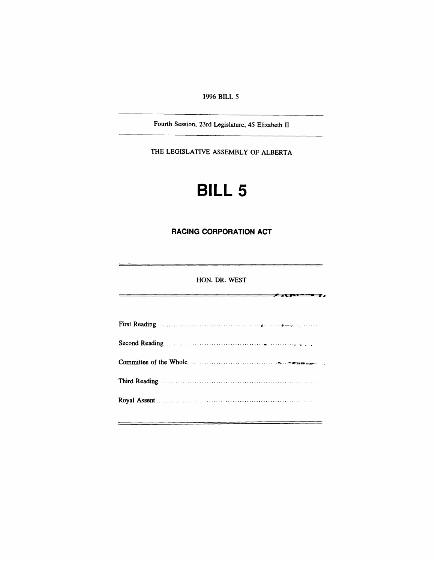*1996 BILL 5*

*Fourth Session, 23rd Legislature, 45 Elizabeth II*

*THE LEGISLATIVE ASSEMBLY OF ALBERTA*

# *BILL 5*

### <span id="page-0-0"></span>*RACING CORPORATION ACT*

#### *HON. DR. WEST*

 $\overline{\phantom{a}}$  . And the  $\overline{\phantom{a}}$ 

*First Reading Second Reading Committee of the Whole Third Reading Royal Assent*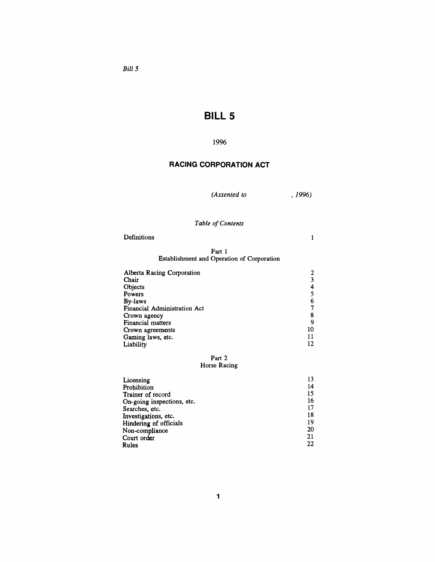*Bill 5*

# *BILL 5*

### *1996*

# *RACING CORPORATION ACT*

*(Assented to , 1996)*

# *Table ofContents*

| Definitions |  |  |  |
|-------------|--|--|--|
|             |  |  |  |

#### *Part <sup>1</sup> Establishment and Operation of Corporation*

| Alberta Racing Corporation   |    |
|------------------------------|----|
| Chair                        | 3  |
| Objects                      |    |
| Powers                       |    |
| By-laws                      |    |
| Financial Administration Act |    |
| Crown agency                 | 8  |
| Financial matters            |    |
| Crown agreements             | 10 |
| Gaming laws, etc.            | 11 |
| Liability                    |    |

#### *Part 2 Horse Racing*

| Licensing                  | 13 |
|----------------------------|----|
| Prohibition                | 14 |
| Trainer of record          | 15 |
| On-going inspections, etc. | 16 |
| Searches, etc.             | 17 |
| Investigations, etc.       | 18 |
| Hindering of officials     | 19 |
| Non-compliance             | 20 |
| Court order                | 21 |
| Rules                      | 22 |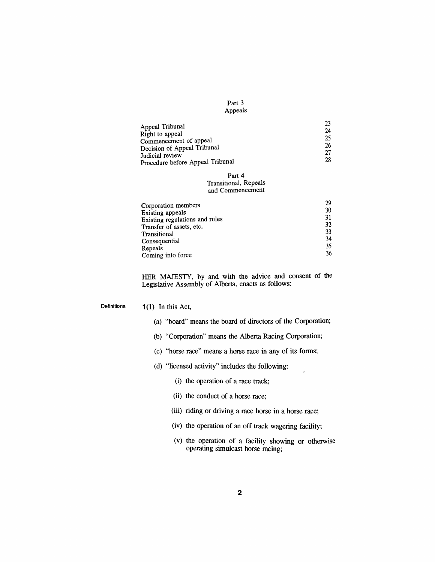| Part 3  |  |
|---------|--|
| Appeals |  |

| Appeal Tribunal                  | 23 |
|----------------------------------|----|
|                                  | 24 |
| Right to appeal                  |    |
| Commencement of appeal           | 25 |
| Decision of Appeal Tribunal      | 26 |
|                                  | 27 |
| Judicial review                  |    |
| Procedure before Appeal Tribunal | 28 |

#### *Part 4 Transitional, Repeals and Commencement*

| Corporation members            | 29 |
|--------------------------------|----|
| Existing appeals               | 30 |
| Existing regulations and rules | 31 |
| Transfer of assets, etc.       | 32 |
| Transitional                   | 33 |
| Consequential                  | 34 |
| Repeals                        | 35 |
| Coming into force              | 36 |

*HER MAJESTY, by and with the advice and consent of the Legislative Assembly of Alberta, enacts as follows:*

*Definitions <sup>1</sup> (1) In this Act,*

- *(a) "board" means the board of directors of the Corporation;*
- *(b) "Corporation" means the Alberta Racing Corporation;*
- *(c) "horse race" means a horse race in any of its forms;*
- *(d) "licensed activity" includes the following:*
	- *(i) the operation of a race track;*
	- *(ii) the conduct of a horse race;*
	- *(iii) riding or driving a race horse in a horse race;*
	- *(iv) the operation of an off track wagering facility;*
	- *(v) the operation of a facility showing or otherwise operating simulcast horse racing;*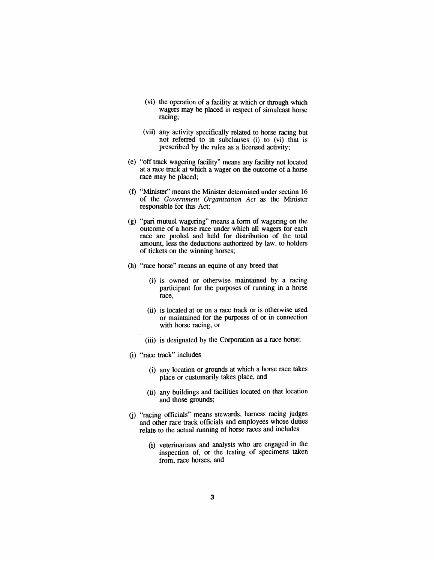- *(vi) the operation of a facility at which or through which wagers may be placed in respect of simulcast horse racing;*
- *(vii) any activity specifically related to horse racing but not referred to in subclauses (i) to (vi) that is prescribed by the rules as a licensed activity;*
- *(e) "off track wagering facility" means any facility not located at a race track at which a wager on the outcome of a horse race may be placed;*
- *(f) "Minister" means the Minister determined under section 16 of the Government Organization Act as the Minister responsible for this Act;*
- *(g) "pari mutuel wagering" means a form of wagering on the outcome of a horse race under which all wagers for each race are pooled and held for distribution of the total amount, less the deductions authorized by law, to holders of tickets on the winning horses;*
- *(h) "race horse" means an equine of any breed that*
	- *(i) is owned or otherwise maintained by a racing participant for the purposes of running in a horse race,*
	- *(ii) is located at or on a race track or is otherwise used or maintained for the purposes of or in connection with horse racing, or*
	- *(iii) is designated by the Corporation as a race horse;*
- *(i) "race track" includes*
	- *(i) any location or grounds at which a horse race takes place or customarily takes place, and*
	- *(ii) any buildings and facilities located on that location and those grounds;*
- *(j) "racing officials" means stewards, harness racing judges and other race track officials and employees whose duties relate to the actual running of horse races and includes*
	- *(i) veterinarians and analysts who are engaged in the inspection of, or the testing of specimens taken from, race horses, and*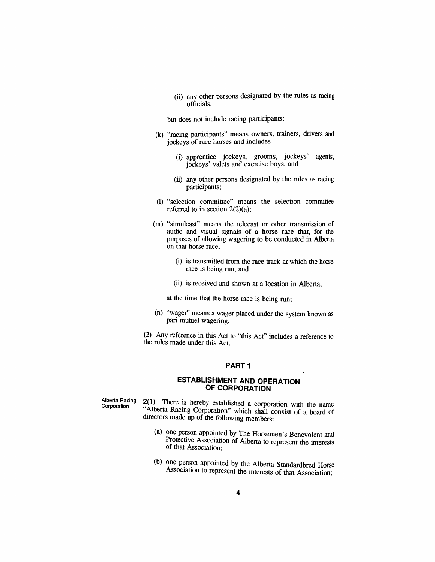*(ii) any other persons designated by the rules as racing officials,*

*but does not include racing participants;*

- *(k) "racing participants" means owners, trainers, drivers and jockeys of race horses and includes*
	- *(i) apprentice jockeys, grooms, jockeys' agents, jockeys' valets and exercise boys, and*
	- *(ii) any other persons designated by the rules as racing participants;*
- *(l) "selection committee" means the selection committee referred to in section 2(2)(a);*
- *(m) "simulcast" means the telecast or other transmission of audio and visual signals of a horse race that, for the purposes of allowing wagering to be conducted in Alberta on that horse race,*
	- *(i) is transmitted from the race track at which the horse race is being run, and*
	- *(ii) is received and shown at a location in Alberta,*

*at the time that the horse race is being run;*

*(n) "wager" means a wager placed under the system known as pari mutuel wagering.*

*(2) Any reference in this Act to "this Act" includes a reference to the rules made under this Act.*

#### *PART<sup>1</sup>*

#### *ESTABLISHMENT AND OPERATION OF CORPORATION*

*Alberta Racing Corporation*

*2(1) There is hereby established a corporation with the name A" lberta Racing Corporation" which shall consist of a board of directors made up of the following members:*

- *(a) one person appointed by The Horsemen's Benevolent and Protective Association of Alberta to represent the interests of that Association;*
- *(b) one person appointed by the Alberta Standardbred Horse Association to represent the interests of that Association;*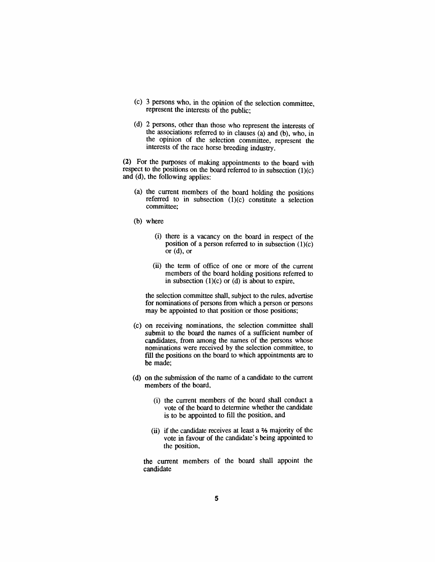- *(c) 3 persons who, in the opinion of the selection committee, represent the interests of the public;*
- *(d) 2 persons, other than those who represent the interests of the associations referred to in clauses (a) and (b), who, in the opinion of the selection committee, represent the interests of the race horse breeding industry.*

*(2) For the purposes of making appointments to the board with respect to the positions on the board referred to in subsection (1)(c) and (d), the following applies:*

- *(a) the current members of the board holding the positions referred to in subsection (1)(c) constitute a selection committee;*
- *(b) where*
	- *(i) there is a vacancy on the board in respect of the position of a person referred to in subsection (1)(c) or (d), or*
	- *(ii) the term of office of one or more of the current members of the board holding positions referred to in subsection (1)(c) or (d) is about to expire,*

*the selection committee shall, subject to the rules, advertise for nominations of persons from which a person or persons may be appointed to that position or those positions;*

- *(c) on receiving nominations, the selection committee shall submit to the board the names of a sufficient number of candidates, from among the names of the persons whose nominations were received by the selection committee, to fill the positions on the board to which appointments are to be made;*
- *(d) on the submission of the name of a candidate to the current members of the board,*
	- *(i) the current members of the board shall conduct a vote of the board to determine whether the candidate is to be appointed to fill the position, and*
	- *(ii) if the candidate receives at least a majority of the vote in favour of the candidate's being appointed to the position,*

*the current members of the board shall appoint the candidate*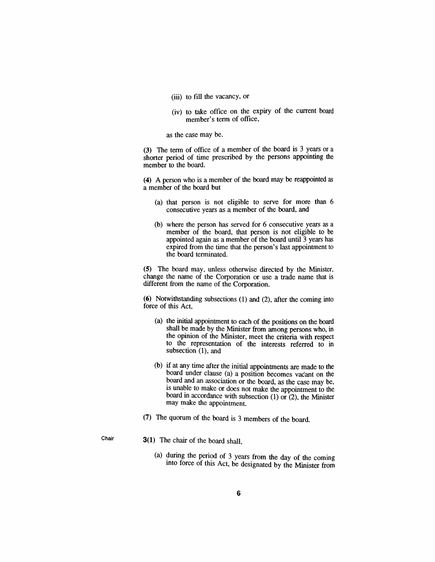- *(iii) to fill the vacancy, or*
- *(iv) to take office on the expiry of the current board member's term of office,*

*as the case may be.*

*(3) The term of office of a member of the board is 3 years or a shorter period of time prescribed by the persons appointing the member to the board.*

*(4) A person who is a member of the board may be reappointed as a member of the board but*

- *(a) that person is not eligible to serve for more than 6 consecutive years as a member of the board, and*
- *(b) where the person has served for 6 consecutive years as a member of the board, that person is not eligible to be appointed again as a member of the board until 3 years has expired from the time that the person's last appointment to the board terminated.*

*(5) The board may, unless otherwise directed by the Minister, change the name of the Corporation or use a trade name that is different from the name of the Corporation.*

*(6) Notwithstanding subsections (1) and (2), after the coming into force of this Act,*

- *(a) the initial appointment to each of the positions on the board shall be made by the Minister from among persons who, in the opinion of the Minister, meet the criteria with respect to the representation of the interests referred to in subsection (1), and*
- *(b) if at any time after the initial appointments are made to the board under clause (a) a position becomes vacant on the board and an association or the board, as the case may be, is unable to make or does not make the appointment to the board in accordance with subsection (1) or (2), the Minister may make the appointment.*
- *(7) The quorum of the board is 3 members of the board.*
- 
- *Chair 3(1) The chair of the board shall,*
	- *(a) during the period of 3 years from the day of the coming into force of this Act, be designated by the Minister from*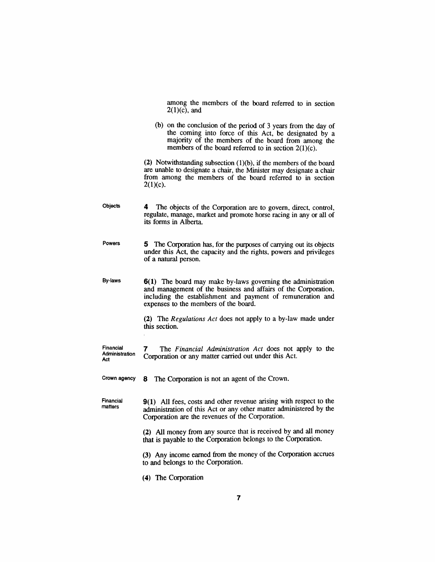*among the members of the board referred to in section 2(1)(c), and*

*(b) on the conclusion of the period of 3 years from the day of the coming into force of this Act, be designated by a majority of the members of the board from among the members of the board referred to in section 2(1)(c).*

*(2) Notwithstanding subsection (1)(b), if the members of the board are unable to designate a chair, the Minister may designate a chair from among the members of the board referred to in section 2(1)(c).*

- *Objects 4 The objects of the Corporation are to govern, direct, control, regulate, manage, market and promote horse racing in any or all of its forms in Alberta.*
- *Powers 5 The Corporation has, for the purposes of carrying out its objects under this Act, the capacity and the rights, powers and privileges of a natural person.*

*By-laws 6(1) The board may make by-laws governing the administration and management of the business and affairs of the Corporation, including the establishment and payment of remuneration and expenses to the members of the board.*

> *(2) The Regulations Act does not apply to a by-law made under this section.*

*Financial Administration Act 7 The Financial Administration Act does not apply to the Corporation or any matter carried out under this Act.*

*Crown agency 8 The Corporation is not an agent of the Crown.*

*Financial matters 9(1) All fees, costs and other revenue arising with respect to the administration of this Act or any other matter administered by the Corporation are the revenues of the Corporation.*

> *(2) All money from any source that is received by and all money that is payable to the Corporation belongs to the Corporation.*

> *(3) Any income earned from the money of the Corporation accrues to and belongs to the Corporation.*

*(4) The Corporation*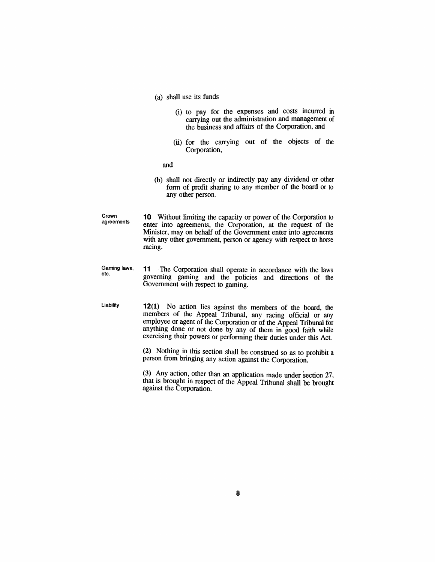- *(a) shall use its funds*
	- *(i) to pay for the expenses and costs incurred in carrying out the administration and management of the business and affairs of the Corporation, and*
	- *(ii) for the carrying out of the objects of the Corporation,*

*and*

- *(b) shall not directly or indirectly pay any dividend or other form of profit sharing to any member of the board or to any other person.*
- *Crown agreements 10 Without limiting the capacity or power of the Corporation to enter into agreements, the Corporation, at the request of the Minister, may on behalf of the Government enter into agreements with any other government, person or agency with respect to horse racing.*

*Gaming laws, etc. 11 The Corporation shall operate in accordance with the laws governing gaming and the policies and directions of the Government with respect to gaming.*

*Liability 12(1) No action lies against the members of the board, the members of the Appeal Tribunal, any racing official or any employee or agent of the Corporation or of the Appeal Tribunal for anything done or not done by any of them in good faith while exercising their powers or performing their duties under this Act.*

> *(2) Nothing in this section shall be construed so as to prohibit a person from bringing any action against the Corporation.*

> *(3) Any action, other than an application made under section 27, that is brought in respect of the Appeal Tribunal shall be brought against the Corporation.*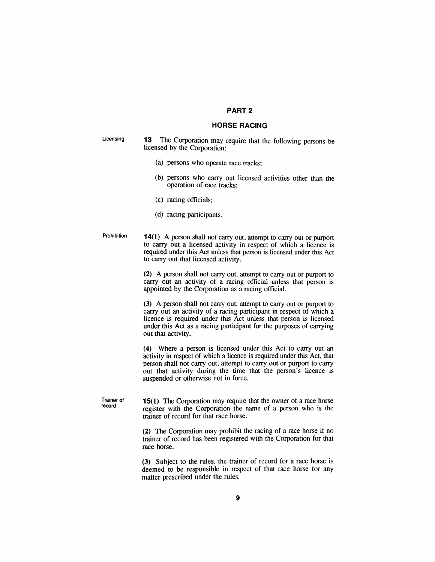#### *PART 2*

#### *HORSE RACING*

*Licensing 13 The Corporation may require that the following persons be licensed by the Corporation:*

- *(a) persons who operate race tracks;*
- *(b) persons who carry out licensed activities other than the operation of race tracks;*
- *(c) racing officials;*
- *(d) racing participants.*
- *Prohibition 14(1) A person shall not carry out, attempt to carry out or purport to carry out a licensed activity in respect of which a licence is required under this Act unless that person is licensed under this Act to carry out that licensed activity.*

*(2) A person shall not carry out, attempt to carry out or purport to carry out an activity of a racing official unless that person is appointed by the Corporation as a racing official.*

*(3) A person shall not carry out, attempt to carry out or purport to carry out an activity of a racing participant in respect of which a licence is required under this Act unless that person is licensed under this Act as a racing participant for the purposes of carrying out that activity.*

*(4) Where a person is licensed under this Act to carry out an activity in respect of which a licence is required under this Act, that person shall not carry out, attempt to carry out or purport to carry out that activity during the time that the person's licence is suspended or otherwise not in force.*

*Trainer of record 15(1) The Corporation may require that the owner of a race horse register with the Corporation the name of a person who is the trainer of record for that race horse.*

> *(2) The Corporation may prohibit the racing of a race horse if no trainer of record has been registered with the Corporation for that race horse.*

> *(3) Subject to the rules, the trainer of record for a race horse is deemed to be responsible in respect of that race horse for any matter prescribed under the rules.*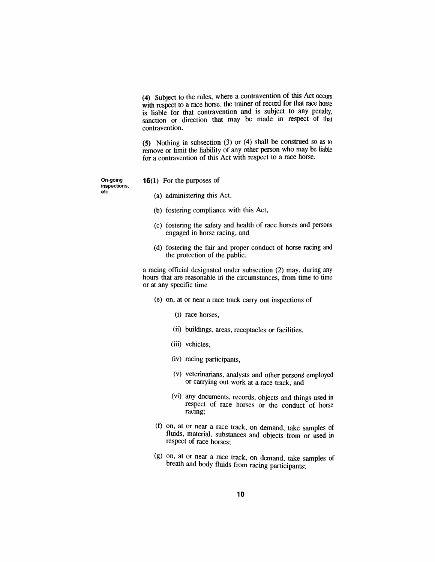*(4) Subject to the rules, where a contravention of this Act occurs with respect to a race horse, the trainer of record for that race horse is liable for that contravention and is subject to any penalty, sanction or direction that may be made in respect of that contravention.*

*(5) Nothing in subsection (3) or (4) shall be construed so as to remove or limit the liability of any other person who may be liable for a contravention of this Act with respect to a race horse.*

*On-going inspections, etc.*

- *16(1) For the purposes of*
	- *(a) administering this Act,*
	- *(b) fostering compliance with this Act,*
	- *(c) fostering the safety and health of race horses and persons engaged in horse racing, and*
	- *(d) fostering the fair and proper conduct of horse racing and the protection of the public,*

*a racing official designated under subsection (2) may, during any hours that are reasonable in the circumstances, from time to time or at any specific time*

- *(e) on, at or near a race track carry out inspections of*
	- *(i) race horses,*
	- *(ii) buildings, areas, receptacles or facilities,*
	- *(iii) vehicles,*
	- *(iv) racing participants,*
	- *(v) veterinarians, analysts and other persons employed or carrying out work at a race track, and*
	- *(vi) any documents, records, objects and things used in respect of race horses or the conduct of horse racing;*
- *(f) on, at or near a race track, on demand, take samples of fluids, material, substances and objects from or used in respect of race horses;*
- *(g) on, at or near a race track, on demand, take samples of breath and body fluids from racing participants;*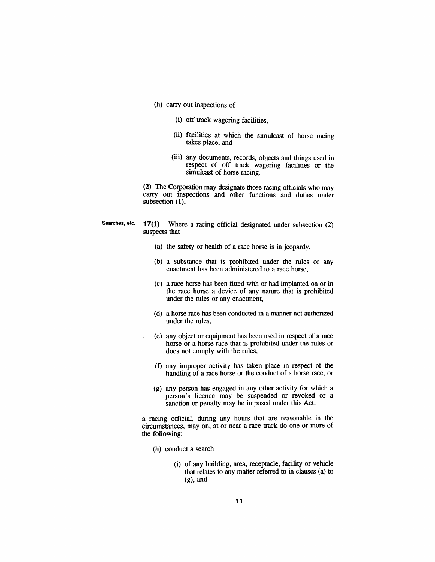- *(h) carry out inspections of*
	- *(i) off track wagering facilities,*
	- *(ii) facilities at which the simulcast of horse racing takes place, and*
	- *(iii) any documents, records, objects and things used in respect of off track wagering facilities or the simulcast of horse racing.*

*(2) The Corporation may designate those racing officials who may carry out inspections and other functions and duties under subsection (1).*

- *Searches, etc. 17(1) Where a racing official designated under subsection (2) suspects that*
	- *(a) the safety or health of a race horse is in jeopardy,*
	- *(b) a substance that is prohibited under the rules or any enactment has been administered to a race horse,*
	- *(c) a race horse has been fitted with or had implanted on or in the race horse a device of any nature that is prohibited under the rules or any enactment,*
	- *(d) a horse race has been conducted in a manner not authorized under the rules,*
	- *(e) any object or equipment has been used in respect of a race horse or a horse race that is prohibited under the rules or does not comply with the rules,*
	- *(f) any improper activity has taken place in respect of the handling of a race horse or the conduct of a horse race, or*
	- *(g) any person has engaged in any other activity for which a person's licence may be suspended or revoked or a sanction or penalty may be imposed under this Act,*

*a racing official, during any hours that are reasonable in the circumstances, may on, at or near a race track do one or more of the following:*

- *(h) conduct a search*
	- *(i) of any building, area, receptacle, facility or vehicle that relates to any matter referred to in clauses (a) to (g), and*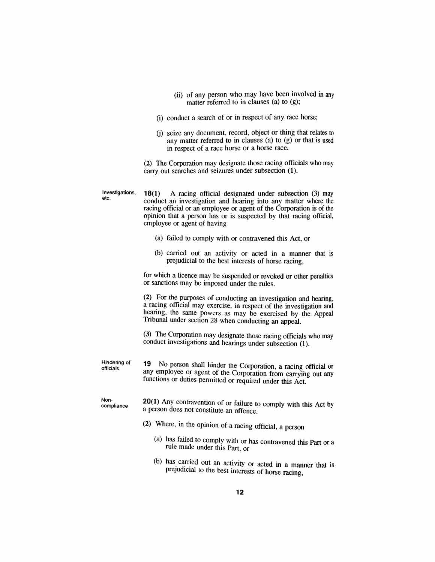- *(ii) of any person who may have been involved in any matter referred to in clauses (a) to (g);*
- *(i) conduct a search of or in respect of any race horse;*
- *(j) seize any document, record, object or thing that relates to any matter referred to in clauses (a) to (g) or that is used in respect of a race horse or a horse race.*

*(2) The Corporation may designate those racing officials who may carry out searches and seizures under subsection (1).*

*Investigations, etc. 18(1) A racing official designated under subsection (3) may conduct an investigation and hearing into any matter where the racing official or an employee or agent of the Corporation is of the opinion that a person has or is suspected by that racing official, employee or agent of having (a) failed to comply with or contravened this Act, or (b) carried out an activity or acted in a manner that is prejudicial to the best interests of horse racing, for which a licence may be suspended or revoked or other penalties or sanctions may be imposed under the rules. (2) For the purposes of conducting an investigation and hearing, a racing official may exercise, in respect of the investigation and hearing, the same powers as may be exercised by the Appeal Tribunal under section 28 when conducting an appeal. (3) The Corporation may designate those racing officials who may conduct investigations and hearings under subsection (1). Hindering of officials 19 No person shall hinder the Corporation, a racing official or any employee or agent of the Corporation from carrying out any functions or duties permitted or required under this Act. Noncompliance 20(1) Any contravention of or failure to comply with this Act by a person does not constitute an offence. (2) Where, in the opinion of a racing official, a person (a) has failed to comply with or has contravened this Part or a rule made under this Part, or (b) has carried out an activity or acted in a manner that is prejudicial to the best interests of horse racing,*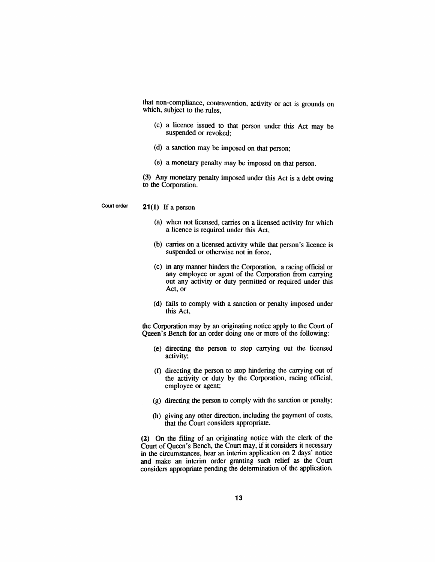*that non-compliance, contravention, activity or act is grounds on which, subject to the rules,*

- *(c) a licence issued to that person under this Act may be suspended or revoked;*
- *(d) a sanction may be imposed on that person;*
- *(e) a monetary penalty may be imposed on that person.*

*(3) Any monetary penalty imposed under this Act is a debt owing to the Corporation.*

*Court order 21(1) If a person*

- *(a) when not licensed, carries on a licensed activity for which a licence is required under this Act,*
- *(b) carries on a licensed activity while that person's licence is suspended or otherwise not in force,*
- *(c) in any manner hinders the Corporation, a racing official or any employee or agent of the Corporation from carrying out any activity or duty permitted or required under this Act, or*
- *(d) fails to comply with a sanction or penalty imposed under this Act,*

*the Corporation may by an originating notice apply to the Court of Queen's Bench for an order doing one or more of the following:*

- *(e) directing the person to stop carrying out the licensed activity;*
- *(f) directing the person to stop hindering the carrying out of the activity or duty by the Corporation, racing official, employee or agent;*
- *(g) directing the person to comply with the sanction or penalty;*
- *(h) giving any other direction, including the payment of costs, that the Court considers appropriate.*

*(2) On the filing of an originating notice with the clerk of the Court of Queen's Bench, the Court may, if it considers it necessary in the circumstances, hear an interim application on 2 days' notice and make an interim order granting such relief as the Court considers appropriate pending the determination of the application.*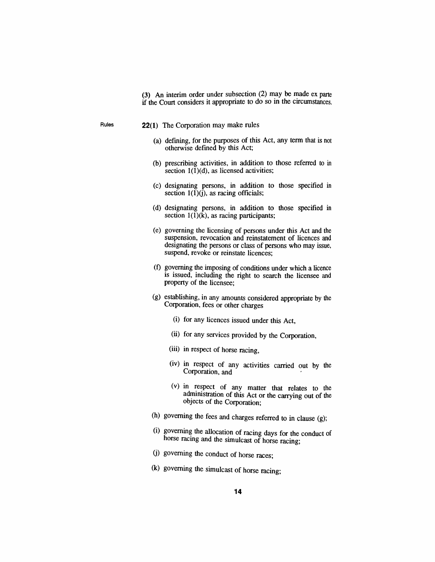*(3) An interim order under subsection (2) may be made ex parte if the Court considers it appropriate to do so in the circumstances.*

- *Rules 22(1) The Corporation may make rules*
	- *(a) defining, for the purposes of this Act, any term that is not otherwise defined by this Act;*
	- *(b) prescribing activities, in addition to those referred to in section 1(1)(d), as licensed activities;*
	- *(c) designating persons, in addition to those specified in section 1(1)(j), as racing officials;*
	- *(d) designating persons, in addition to those specified in section 1(1)(k), as racing participants;*
	- *(e) governing the licensing of persons under this Act and the suspension, revocation and reinstatement of licences and designating the persons or class of persons who may issue, suspend, revoke or reinstate licences;*
	- *(f) governing the imposing of conditions under which a licence is issued, including the right to search the licensee and property of the licensee;*
	- *(g) establishing, in any amounts considered appropriate by the Corporation, fees or other charges*
		- *(i) for any licences issued under this Act,*
		- *(ii) for any services provided by the Corporation,*
		- *(iii) in respect of horse racing,*
		- *(iv) in respect of any activities carried out by the Corporation, and*
		- *(v) in respect of any matter that relates to the administration of this Act or the carrying out of the objects of the Corporation;*
	- *(h) governing the fees and charges referred to in clause (g);*
	- *(i) governing the allocation of racing days for the conduct of horse racing and the simulcast of horse racing;*
	- *(j) governing the conduct of horse races;*
	- *(k) governing the simulcast of horse racing;*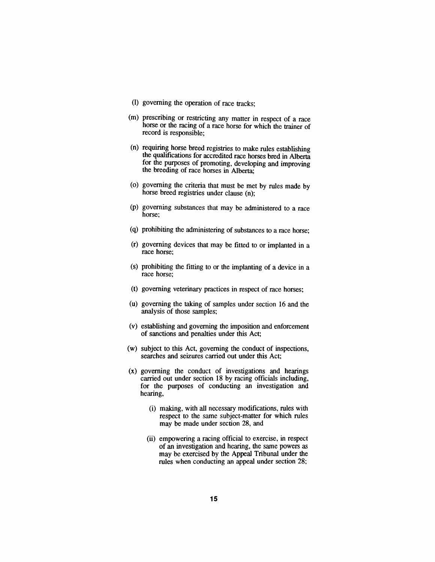- *(l) governing the operation of race tracks;*
- *(m) prescribing or restricting any matter in respect of a race horse or the racing of a race horse for which the trainer of record is responsible;*
- *(n) requiring horse breed registries to make rules establishing the qualifications for accredited race horses bred in Alberta for the purposes of promoting, developing and improving the breeding of race horses in Alberta;*
- *(o) governing the criteria that must be met by rules made by horse breed registries under clause (n);*
- *(p) governing substances that may be administered to a race horse;*
- *(q) prohibiting the administering of substances to a race horse;*
- *(r) governing devices that may be fitted to or implanted in a race horse;*
- *(s) prohibiting the fitting to or the implanting of a device in a race horse;*
- *(t) governing veterinary practices in respect of race horses;*
- *(u) governing the taking of samples under section 16 and the analysis of those samples;*
- *(v) establishing and governing the imposition and enforcement of sanctions and penalties under this Act;*
- *(w) subject to this Act, governing the conduct of inspections, searches and seizures carried out under this Act;*
- *(x) governing the conduct of investigations and hearings carried out under section 18 by racing officials including, for the purposes of conducting an investigation and hearing,*
	- *(i) making, with all necessary modifications, rules with respect to the same subject-matter for which rules may be made under section 28, and*
	- *(ii) empowering a racing official to exercise, in respect of an investigation and hearing, the same powers as may be exercised by the Appeal Tribunal under the rules when conducting an appeal under section 28;*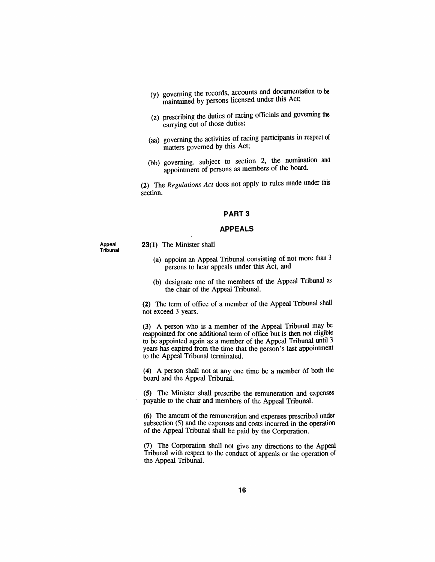- *(y) governing the records, accounts and documentation to be maintained by persons licensed under this Act,*
- *(z) prescribing the duties of racing officials and governing the carrying out of those duties;*
- *(aa) governing the activities of racing participants in respect of matters governed by this Act;*
- *(bb) governing, subject to section 2, the nomination and appointment of persons as members of the board.*

*(2) The Regulations Act does not apply to rules made under this section.*

#### *PART 3*

#### *APPEALS*

*Appeal Tribunal* *23(1) The Minister shall*

- *(a) appoint an Appeal Tribunal consisting of not more than <sup>3</sup> persons to hear appeals under this Act, and*
- *(b) designate one of the members of the Appeal Tribunal as the chair of the Appeal Tribunal.*

*(2) The term of office of a member of the Appeal Tribunal shall not exceed 3 years.*

*(3) A person who is a member of the Appeal Tribunal may be reappointed for one additional term of office but is then not eligible to be appointed again as a member of the Appeal Tribunal until 3 years has expired from the time that the person's last appointment to the Appeal Tribunal terminated.*

*(4) A person shall not at any one time be a member of both the board and the Appeal Tribunal.*

*(5) The Minister shall prescribe the remuneration and expenses payable to the chair and members of the Appeal Tribunal.*

*(6) The amount of the remuneration and expenses prescribed under subsection (5) and the expenses and costs incurred in the operation of the Appeal Tribunal shall be paid by the Corporation.*

*(7) The Corporation shall not give any directions to the Appeal Tribunal with respect to the conduct of appeals or the operation of the Appeal Tribunal.*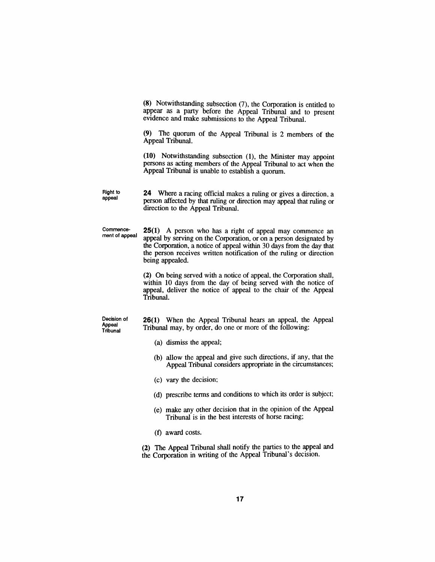*(8) Notwithstanding subsection (7), the Corporation is entitled to appear as a party before the Appeal Tribunal and to present evidence and make submissions to the Appeal Tribunal.*

*(9) The quorum of the Appeal Tribunal is 2 members of the Appeal Tribunal.*

*(10) Notwithstanding subsection (1), the Minister may appoint persons as acting members of the Appeal Tribunal to act when the Appeal Tribunal is unable to establish a quorum.*

*Right to appeal 24 Where a racing official makes a ruling or gives a direction, a person affected by that ruling or direction may appeal that ruling or direction to the Appeal Tribunal.*

*Commencement of appeal 25(1) A person who has a right of appeal may commence an appeal by serving on the Corporation, or on a person designated by the Corporation, a notice of appeal within 30 days from the day that the person receives written notification of the ruling or direction being appealed.*

> *(2) On being served with a notice of appeal, the Corporation shall, within 10 days from the day of being served with the notice of appeal, deliver the notice of appeal to the chair of the Appeal Tribunal.*

*Decision of Appeal Tribunal*

*26(1) When the Appeal Tribunal hears an appeal, the Appeal Tribunal may, by order, do one or more of the following:*

- *(a) dismiss the appeal;*
- *(b) allow the appeal and give such directions, if any, that the Appeal Tribunal considers appropriate in the circumstances;*
- *(c) vary the decision;*
- *(d) prescribe terms and conditions to which its order is subject;*
- *(e) make any other decision that in the opinion of the Appeal Tribunal is in the best interests of horse racing;*
- *(f) award costs.*

*(2) The Appeal Tribunal shall notify the parties to the appeal and the Corporation in writing of the Appeal Tribunal's decision.*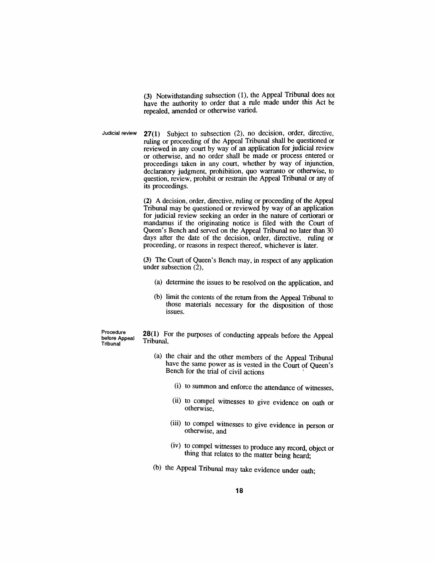*(3) Notwithstanding subsection (1), the Appeal Tribunal does not have the authority to order that a rule made under this Act be repealed, amended or otherwise varied.*

*Judicial review 27(1) Subject to subsection (2), no decision, order, directive, ruling or proceeding of the Appeal Tribunal shall be questioned or reviewed in any court by way of an application for judicial review or otherwise, and no order shall be made or process entered or proceedings taken in any court, whether by way of injunction, declaratory judgment, prohibition, quo warranto or otherwise, to question, review, prohibit or restrain the Appeal Tribunal or any of its proceedings.*

> *(2) A decision, order, directive, ruling or proceeding of the Appeal Tribunal may be questioned or reviewed by way of an application for judicial review seeking an order in the nature of certiorari or mandamus if the originating notice is filed with the Court of Queen's Bench and served on the Appeal Tribunal no later than 30 days after the date of the decision, order, directive, ruling or proceeding, or reasons in respect thereof, whichever is later.*

> *(3) The Court of Queen's Bench may, in respect of any application under subsection (2),*

- *(a) determine the issues to be resolved on the application, and*
- *(b) limit the contents of the return from the Appeal Tribunal to those materials necessary for the disposition of those issues.*

*Procedure before Appeal Tribunal*

*28(1) For the purposes of conducting appeals before the Appeal Tribunal,*

- *(a) the chair and the other members of the Appeal Tribunal have the same power as is vested in the Court of Queen's Bench for the trial of civil actions*
	- *(i) to summon and enforce the attendance of witnesses,*
	- *(ii) to compel witnesses to give evidence on oath or otherwise,*
	- *(iii) to compel witnesses to give evidence in person or otherwise, and*
	- *(iv) to compel witnesses to produce any record, object or thing that relates to the matter being heard;*
- *(b) the Appeal Tribunal may take evidence under oath;*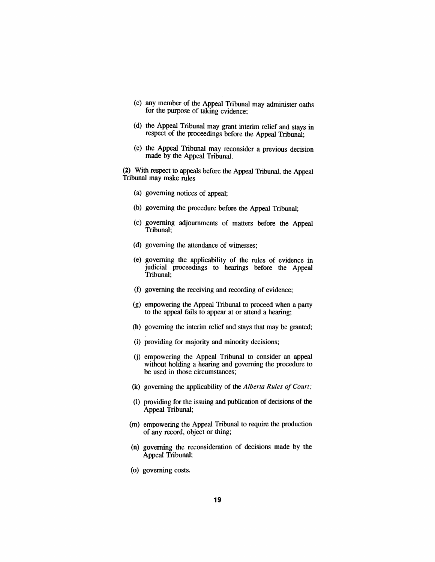- *(c) any member of the Appeal Tribunal may administer oaths for the purpose of taking evidence;*
- *(d) the Appeal Tribunal may grant interim relief and stays in respect of the proceedings before the Appeal Tribunal;*
- *(e) the Appeal Tribunal may reconsider a previous decision made by the Appeal Tribunal.*

*(2) With respect to appeals before the Appeal Tribunal, the Appeal Tribunal may make rules*

- *(a) governing notices of appeal;*
- *(b) governing the procedure before the Appeal Tribunal;*
- *(c) governing adjournments of matters before the Appeal Tribunal;*
- *(d) governing the attendance of witnesses;*
- *(e) governing the applicability of the rules of evidence in judicial proceedings to hearings before the Appeal Tribunal;*
- *(f) governing the receiving and recording of evidence;*
- *(g) empowering the Appeal Tribunal to proceed when a party to the appeal fails to appear at or attend a hearing;*
- *(h) governing the interim relief and stays that may be granted;*
- *(i) providing for majority and minority decisions;*
- *(j) empowering the Appeal Tribunal to consider an appeal without holding a hearing and governing the procedure to be used in those circumstances;*
- *(k) governing the applicability of the Alberta Rules of Court;*
- *(l) providing for the issuing and publication of decisions of the Appeal Tribunal;*
- *(m) empowering the Appeal Tribunal to require the production of any record, object or thing;*
- *(n) governing the reconsideration of decisions made by the Appeal Tribunal;*
- *(o) governing costs.*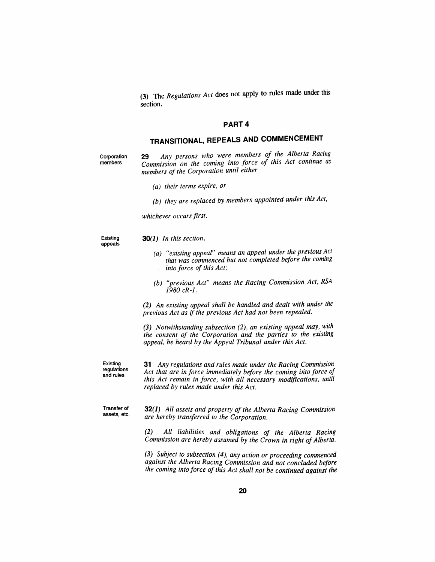*(3) The Regulations Act does not apply to rules made under this section.*

#### *PART 4*

# *TRANSITIONAL, REPEALS AND COMMENCEMENT*

*Corporation members*

*29 Any persons who were members of the Alberta Racing Commission on the coming into force of this Act continue as members of the Corporation until either*

*(a) their terms expire, or*

*(b) they are replaced by members appointed under this Act,*

*whichever occursfirst.*

*Existing appeals*

- *30(1) In this section,*
	- *(a) "existing appeal" means an appeal under the previous Act that was commenced but not completed before the coming into force of this Act;*
	- *(b) "previous Act" means the Racing Commission Act, RSA 1980 cR-1.*

*(2) An existing appeal shall be handled and dealt with under the previous Act as if the previous Act had not been repealed.*

*(3) Notwithstanding subsection (2), an existing appeal may, with the consent of the Corporation and the parties to the existing appeal, be heard by the Appeal Tribunal under this Act.*

*Existing regulations and rules*

*31 Any regulations and rules made under the Racing Commission Act that are in force immediately before the coming into force of this Act remain in force, with all necessary modifications, until replaced by rules made under this Act.*

*Transfer of assets, etc. 32(1) All assets and property of the Alberta Racing Commission are hereby transferred to the Corporation.*

> *(2) All liabilities and obligations of the Alberta Racing Commission are hereby assumed by the Crown in right ofAlberta.*

> *(3) Subject to subsection (4), any action or proceeding commenced against the Alberta Racing Commission and not concluded before the coming into force of this Act shall not be continued against the*